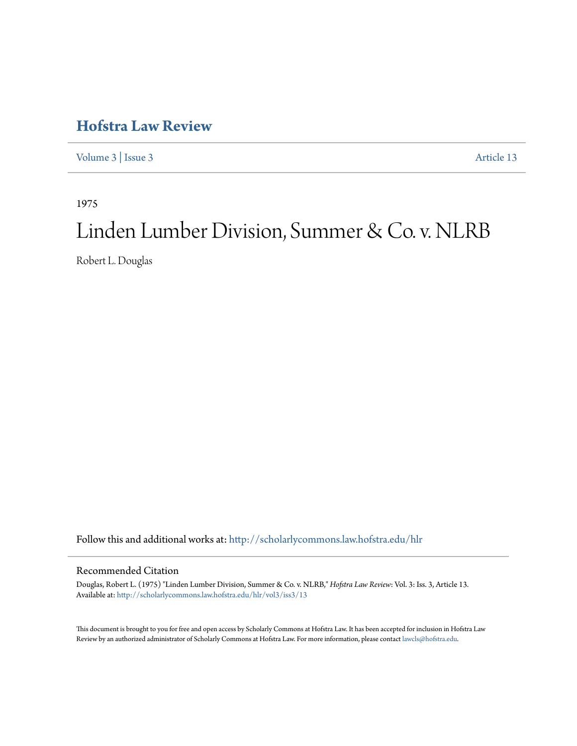## **[Hofstra Law Review](http://scholarlycommons.law.hofstra.edu/hlr?utm_source=scholarlycommons.law.hofstra.edu%2Fhlr%2Fvol3%2Fiss3%2F13&utm_medium=PDF&utm_campaign=PDFCoverPages)**

[Volume 3](http://scholarlycommons.law.hofstra.edu/hlr/vol3?utm_source=scholarlycommons.law.hofstra.edu%2Fhlr%2Fvol3%2Fiss3%2F13&utm_medium=PDF&utm_campaign=PDFCoverPages) | [Issue 3](http://scholarlycommons.law.hofstra.edu/hlr/vol3/iss3?utm_source=scholarlycommons.law.hofstra.edu%2Fhlr%2Fvol3%2Fiss3%2F13&utm_medium=PDF&utm_campaign=PDFCoverPages) [Article 13](http://scholarlycommons.law.hofstra.edu/hlr/vol3/iss3/13?utm_source=scholarlycommons.law.hofstra.edu%2Fhlr%2Fvol3%2Fiss3%2F13&utm_medium=PDF&utm_campaign=PDFCoverPages)

1975

# Linden Lumber Division, Summer & Co. v. NLRB

Robert L. Douglas

Follow this and additional works at: [http://scholarlycommons.law.hofstra.edu/hlr](http://scholarlycommons.law.hofstra.edu/hlr?utm_source=scholarlycommons.law.hofstra.edu%2Fhlr%2Fvol3%2Fiss3%2F13&utm_medium=PDF&utm_campaign=PDFCoverPages)

#### Recommended Citation

Douglas, Robert L. (1975) "Linden Lumber Division, Summer & Co. v. NLRB," *Hofstra Law Review*: Vol. 3: Iss. 3, Article 13. Available at: [http://scholarlycommons.law.hofstra.edu/hlr/vol3/iss3/13](http://scholarlycommons.law.hofstra.edu/hlr/vol3/iss3/13?utm_source=scholarlycommons.law.hofstra.edu%2Fhlr%2Fvol3%2Fiss3%2F13&utm_medium=PDF&utm_campaign=PDFCoverPages)

This document is brought to you for free and open access by Scholarly Commons at Hofstra Law. It has been accepted for inclusion in Hofstra Law Review by an authorized administrator of Scholarly Commons at Hofstra Law. For more information, please contact [lawcls@hofstra.edu](mailto:lawcls@hofstra.edu).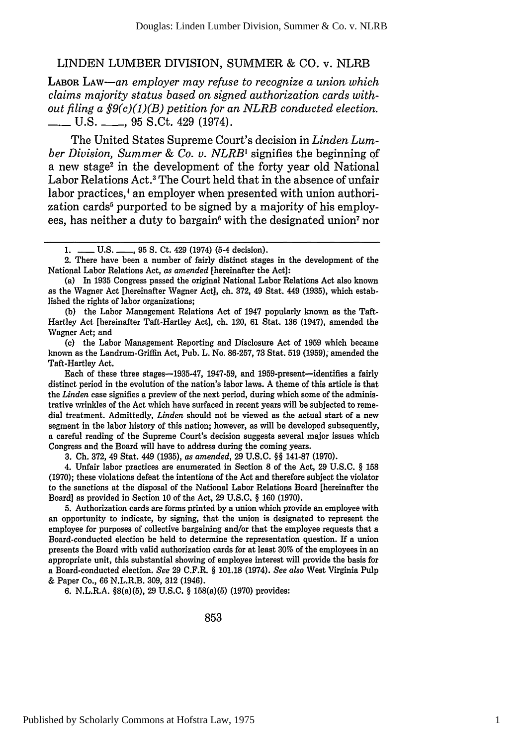#### LINDEN LUMBER DIVISION, SUMMER **& CO.** v. **NLRB**

**LABOR LAW-an** *employer may refuse to recognize a union which claims majority status based on signed authorization cards without filing a §9(c)(1)(B) petition for an NLRB conducted election.* **-** U.S. \_ \_ , 95 S.Ct. 429 (1974).

The United States Supreme Court's decision in *Linden Lumber Division, Summer & Co. v. NLRBI* signifies the beginning **of** a new stage<sup>2</sup> in the development of the forty year old National Labor Relations Act.<sup>3</sup> The Court held that in the absence of unfair labor practices,<sup>4</sup> an employer when presented with union authorization cards<sup>5</sup> purported to be signed by a majority of his employees, has neither a duty to bargain<sup>6</sup> with the designated union<sup>7</sup> nor

(b) the Labor Management Relations Act of 1947 popularly known as the Taft-Hartley Act [hereinafter Taft-Hartley Act], ch. 120, 61 Stat. 136 (1947), amended the Wagner Act; and

(c) the Labor Management Reporting and Disclosure Act of 1959 which became known as the Landrum-Griffin Act, Pub. L. No. 86-257, 73 Stat. 519 (1959), amended the Taft-Hartley Act.

Each of these three stages-1935-47, 1947-59, and 1959-present-identifies a fairly distinct period in the evolution of the nation's labor laws. A theme of this article is that the *Linden* case signifies a preview of the next period, during which some of the administrative wrinkles of the Act which have surfaced in recent years will be subjected to remedial treatment. Admittedly, *Linden* should not be viewed as the actual start of a new segment in the labor history of this nation; however, as will be developed subsequently, a careful reading of the Supreme Court's decision suggests several major issues which Congress and the Board will have to address during the coming years.

3. Ch. 372, 49 Stat. 449 (1935), as *amended,* 29 U.S.C. §§ 141-87 (1970).

4. Unfair labor practices are enumerated in Section **8** of the Act, 29 U.S.C. § 158 (1970); these violations defeat the intentions of the Act and therefore subject the violator to the sanctions at the disposal of the National Labor Relations Board [hereinafter the Board] as provided in Section **10** of the Act, 29 U.S.C. § 160 (1970).

5. Authorization cards are forms printed by a union which provide an employee with an opportunity to indicate, by signing, that the union is designated to represent the employee for purposes of collective bargaining and/or that the employee requests that a Board-conducted election be held to determine the representation question. If a union presents the Board with valid authorization cards for at least 30% of the employees in an appropriate unit, this substantial showing of employee interest will provide the basis for a Board-conducted election. *See* 29 C.F.R. § 101.18 (1974). *See also* West Virginia Pulp & Paper Co., 66 N.L.R.B. 309, 312 (1946).

6. N.L.R.A. §8(a)(5), 29 U.S.C. § 158(a)(5) (1970) provides:

<sup>1.</sup> **-- U.S. -- 95 S. Ct. 429 (1974) (5-4 decision).** 

<sup>2.</sup> There have been a number of fairly distinct stages in the development of the National Labor Relations Act, *as amended* [hereinafter the Act]:

<sup>(</sup>a) In 1935 Congress passed the original National Labor Relations Act also known as the Wagner Act [hereinafter Wagner Act], ch. 372, 49 Stat. 449 (1935), which established the rights of labor organizations;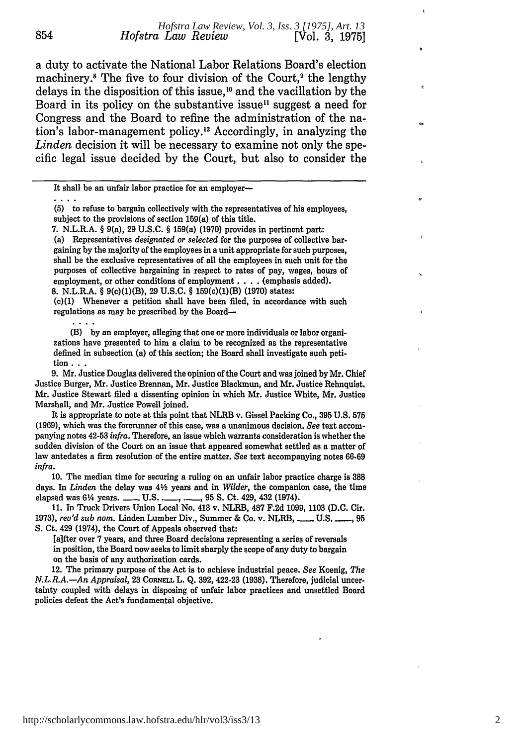a duty to activate the National Labor Relations Board's election machinery.<sup>8</sup> The five to four division of the Court,<sup>9</sup> the lengthy delays in the disposition of this issue,<sup>10</sup> and the vacillation by the Board in its policy on the substantive issue<sup>11</sup> suggest a need for Congress and the Board to refine the administration of the nation's labor-management policy.<sup>12</sup> Accordingly, in analyzing the *Linden* decision it will be necessary to examine not only the specific legal issue decided by the Court, but also to consider the

 $\ldots$ 

854

7. N.L.R.A. § 9(a), 29 U.S.C. § 159(a) (1970) provides in pertinent part:

(a) Representatives *designated or selected* for the purposes of collective bargaining by the majority of the employees in a unit appropriate for such purposes, shall be the exclusive representatives of all the employees in such unit for the purposes of collective bargaining in respect to rates of pay, wages, hours of employment, or other conditions of employment . . . . (emphasis added). **8.** N.L.R.A. § 9(c)(1)(B), **29 U.S.C.** § 159(c)(1)(B) **(1970)** states:

**(c)(1)** Whenever a petition shall have been filed, in accordance with such regulations as may be prescribed **by** the Board-

(B) **by** an employer, alleging that one or more individuals or labor organizations have presented to him a claim to be recognized as the representative defined in subsection (a) of this section; the Board shall investigate such peti**tion...**

**9.** Mr. Justice Douglas delivered the opinion of the Court and was joined **by** Mr. Chief Justice Burger, Mr. Justice Brennan, Mr. Justice Blackmun, and Mr. Justice Rehnquist. Mr. Justice Stewart filed a dissenting opinion in which Mr. Justice White, Mr. Justice Marshall, and Mr. Justice Powell joined.

It is appropriate to note at this point that NLRB v. Gissel Packing Co., **395 U.S. 575 (1969),** which was the forerunner of this case, was a unanimous decision. *See* text accompanying notes 42-53 *infra.* Therefore, an issue which warrants consideration is whether the sudden division of the Court on an issue that appeared somewhat settled as a matter of law antedates a firm resolution of the entire matter. *See* text accompanying notes **66.69** *infra.*

**10.** The median time for securing a ruling on an unfair labor practice charge **is 388** days. In *Linden* the delay was 42 years and in *Wilder,* the companion case, the time elapsed was 6% years. **- U.S.** \_ **\_., 95 S.** Ct. 429, 432 (1974).

**11. In** Truck Drivers Union Local No. 413 v. NLRB, **487 F.2d 1099, 1103 (D.C.** Cir. **1973),** *rev'd sub nom.* Linden Lumber Div., Summer & Co. v. NLRB, **-U.S. -, 95 S.** Ct. 429 (1974), the Court of Appeals observed that:

[a]fter over **7** years, and three Board decisions representing a series of reversals in position, the Board now seeks to limit sharply the scope of any duty to bargain on the basis of any authorization cards.

12. The primary purpose of the Act is to achieve industrial peace. *See* Koenig, *The N.L.R.A.*—*An Appraisal,* 23 CORNELL L. Q. 392, 422-23 (1938). Therefore, judicial uncertainty coupled with delays in disposing of unfair labor practices and unsettled Board policies defeat the Act's fundamental objective.

It shall be an unfair labor practice for an employer-

<sup>(5)</sup> to refuse to bargain collectively with the representatives of his employees, subject to the provisions of section 159(a) of this title.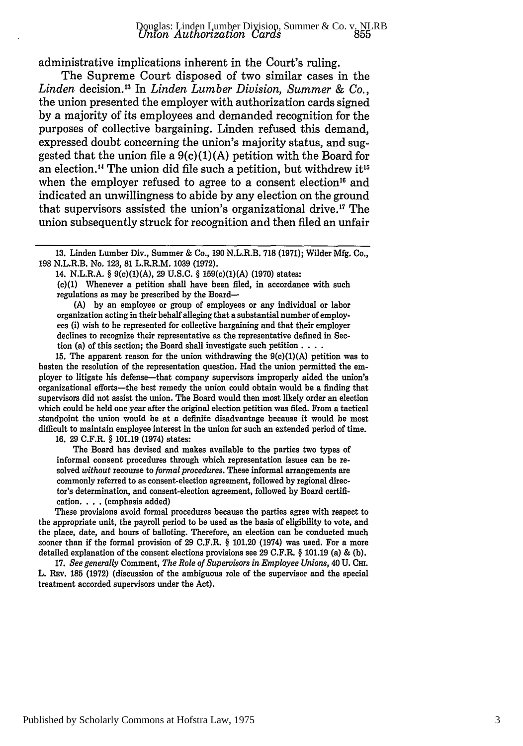administrative implications inherent in the Court's ruling.

The Supreme Court disposed of two similar cases in the *Linden* decision.'" In *Linden Lumber Division, Summer & Co.,* the union presented the employer with authorization cards signed by a majority of its employees and demanded recognition for the purposes of collective bargaining. Linden refused this demand, expressed doubt concerning the union's majority status, and suggested that the union file a  $9(c)(1)(A)$  petition with the Board for an election.<sup>14</sup> The union did file such a petition, but withdrew it<sup>15</sup> when the employer refused to agree to a consent election<sup>16</sup> and indicated an unwillingness to abide by any election on the ground that supervisors assisted the union's organizational drive.<sup>17</sup> The union subsequently struck for recognition and then filed an unfair

14. N.L.R.A. § 9(c)(1)(A), 29 U.S.C. § 159(c)(1)(A) (1970) states:

(c)(1) Whenever a petition shall have been filed, in accordance with such regulations as may be prescribed by the Board-

(A) by an employee or group of employees or any individual or labor organization acting in their behalf alleging that a substantial number of employees (i) wish to be represented for collective bargaining and that their employer declines to recognize their representative as the representative defined in Section (a) of this section; the Board shall investigate such petition **....**

**15.** The apparent reason for the union withdrawing the **9(c)(1)(A)** petition was to hasten the resolution of the representation question. Had the union permitted the employer to litigate his defense-that company supervisors improperly aided the union's organizational efforts-the best remedy the union could obtain would be a finding that supervisors did not assist the union. The Board would then most likely order an election which could be held one year after the original election petition was fied. From a tactical standpoint the union would be at a definite disadvantage because it would be most difficult to maintain employee interest in the union for such an extended period of time. **16. 29** C.F.R. § **101.19** (1974) states:

The Board has devised and makes available to the parties two types of informal consent procedures through which representation issues can be resolved *without* recourse to *formal procedures.* These informal arrangements are commonly referred to as consent-election agreement, followed **by** regional director's determination, and consent-election agreement, followed by Board certification. . **.** . (emphasis added)

These provisions avoid formal procedures because the parties agree with respect to the appropriate unit, the payroll period to be used as the basis of eligibility to vote, and the place, date, and hours of balloting. Therefore, an election can be conducted much sooner than if the formal provision of **29** C.F.R. § 101.20 (1974) was used. For a more detailed explanation of the consent elections provisions see **29** C.F.R. § **101.19** (a) & **(b).**

**17.** *See generally* Comment, *The Role of Supervisors in Employee Unions,* 40 **U.** Cm. L. REv. 185 (1972) (discussion of the ambiguous role of the supervisor and the special treatment accorded supervisors under the Act).

<sup>13.</sup> Linden Lumber Div., Summer & Co., 190 N.L.R.B. 718 (1971); Wilder Mfg. Co., 198 N.L.R.B. No. 123, **81** L.R.R.M. 1039 (1972).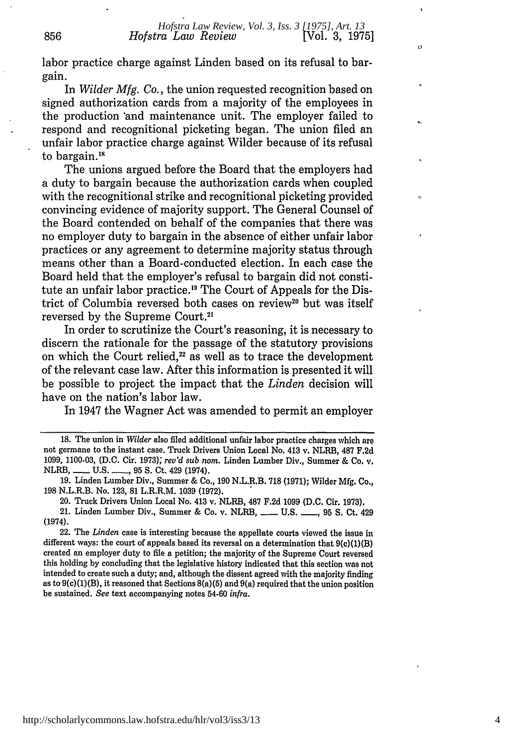<u>ن</u>

labor practice charge against Linden based on its refusal to bargain.

In *Wilder Mfg. Co.,* the union requested recognition based on signed authorization cards from a majority of the employees in the production \*and maintenance unit. The employer failed to respond and recognitional picketing began. The union filed an unfair labor practice charge against Wilder because of its refusal to bargain.<sup>18</sup>

The unions argued before the Board that the employers had a duty to bargain because the authorization cards when coupled with the recognitional strike and recognitional picketing provided convincing evidence of majority support. The General Counsel of the Board contended on behalf of the companies that there was no employer duty to bargain in the absence of either unfair labor practices or any agreement to determine majority status through means other than a Board-conducted election. In each case the Board held that the employer's refusal to bargain did not constitute an unfair labor practice.'9 The Court of Appeals for the District of Columbia reversed both cases on review<sup>20</sup> but was itself reversed by the Supreme Court.2'

In order to scrutinize the Court's reasoning, it is necessary to discern the rationale for the passage of the statutory provisions on which the Court relied, $22$  as well as to trace the development of the relevant case law. After this information is presented it will be possible to project the impact that the *Linden* decision will have on the nation's labor law.

In 1947 the Wagner Act was amended to permit an employer

20. Truck Drivers Union Local No. 413 v. NLRB, **487 F.2d 1099 (D.C.** Cir. **1973).**

21. Linden Lumber Div., Summer & Co. v. NLRB, **- U.S. -, 95 S.** Ct. 429 (1974).

22. The *Linden* case is interesting because the appellate courts viewed the issue in different ways: the court of appeals based its reversal on a determination that  $9(c)(1)(B)$ created an employer duty to file a petition; the majority of the Supreme Court reversed this holding **by** concluding that the legislative history indicated that this section was not intended to create such a duty; and, although the dissent agreed with the majority finding as to 9(c)(1)(B), it reasoned that Sections 8(a)(5) and 9(a) required that **the** union position be sustained. *See* text accompanying notes 54-60 *infra.*

**<sup>18.</sup>** The union in *Wilder* also filed additional unfair labor practice charges which are not germane to the instant case. Truck Drivers Union Local No. 413 v. NLRB, **487 F.2d 1099, 1100-03, (D.C.** Cir. **1973);** *rev'd sub nom.* Linden Lumber Div., Summer **&** Co. v. NLRB, **- U.S. \_, 95 S.** Ct. 429 (1974).

**<sup>19.</sup>** Linden Lumber Div., Summer & Co., **190** N.L.R.B. **718 (1971);** Wilder **Mfg.** Co., **198** N.L.R.B. No. **123, 81** L.R.R.M. **1039 (1972).**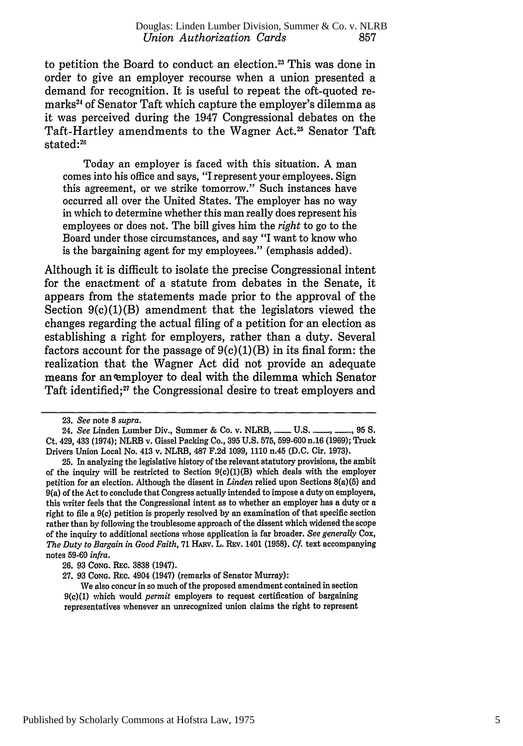to petition the Board to conduct an election.<sup>23</sup> This was done in order to give an employer recourse when a union presented a demand for recognition. It is useful to repeat the oft-quoted remarks<sup>24</sup> of Senator Taft which capture the employer's dilemma as it was perceived during the 1947 Congressional debates on the Taft-Hartley amendments to the Wagner **Act.25** Senator Taft stated:<sup>26</sup>

Today an employer is faced with this situation. A man comes into his office and says, "I represent your employees. Sign this agreement, or we strike tomorrow." Such instances have occurred all over the United States. The employer has no way in which to determine whether this man really does represent his employees or does not. The bill gives him the *right* to go to the Board under those circumstances, and say "I want to know who is the bargaining agent for my employees." (emphasis added).

Although it is difficult to isolate the precise Congressional intent for the enactment of a statute from debates in the Senate, it appears from the statements made prior to the approval of the Section  $9(c)(1)(B)$  amendment that the legislators viewed the changes regarding the actual filing of a petition for an election as establishing a right for employers, rather than a duty. Several factors account for the passage of  $9(c)(1)(B)$  in its final form: the realization that the Wagner Act did not provide an adequate means for an employer to deal with the dilemma which Senator Taft identified;<sup>27</sup> the Congressional desire to treat employers and

<sup>23.</sup> *See* note 8 *supra.*

<sup>24.</sup> *See* Linden Lumber Div., Summer & Co. v. NLRB, **- U.S.** - **\_ 95 S.** Ct. 429, 433 (1974); NLRB v. Gissel Packing Co., 395 U.S. 575, 599-600 n.16 (1969); Truck Drivers Union Local No. 413 v. NLRB, **487** F.2d 1099, 1110 n.45 (D.C. Cir. 1973).

<sup>25.</sup> In analyzing the legislative history of the relevant statutory provisions, the ambit of the inquiry will be restricted to Section  $9(c)(1)(B)$  which deals with the employer petition for an election. Although the dissent in *Linden* relied upon Sections 8(a)(5) and 9(a) of the Act to conclude that Congress actually intended to impose a duty on employers, this writer feels that the Congressional intent as to whether an employer has a duty or a right to file a 9(c) petition is properly resolved by an examination of that specific section rather than by following the troublesome approach of the dissent which widened the scope of the inquiry to additional sections whose application is far broader. *See generally* Cox, *The Duty to Bargain in Good Faith,* 71 HARV. L. Rav. 1401 (1958). *Cf.* text accompanying notes 59-60 *infra.*

<sup>26. 93</sup> **CONG.** REc. 3838 (1947).

<sup>27. 93</sup> **CONG.** REc. 4904 (1947) (remarks of Senator Murray):

We also concur in so much of the proposed amendment contained in section 9(c)(1) which would *permit* employers to request certification of bargaining representatives whenever an unrecognized union claims the right to represent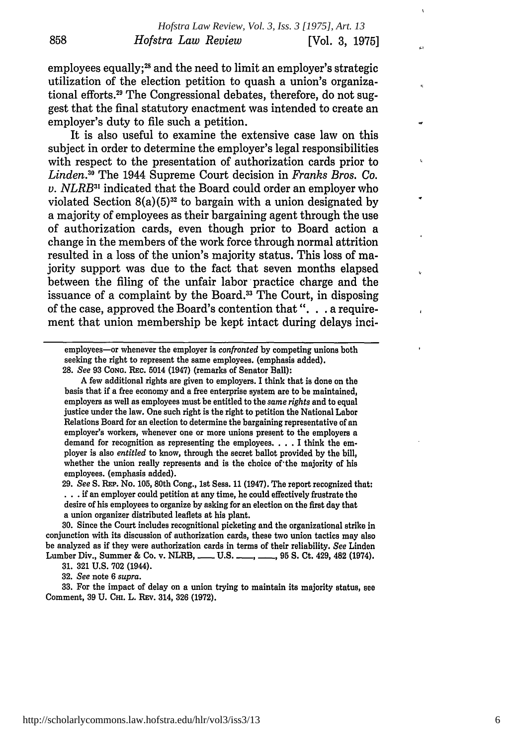employees equally;<sup>28</sup> and the need to limit an employer's strategic utilization of the election petition to quash a union's organizational efforts.29 The Congressional debates, therefore, do not suggest that the final statutory enactment was intended to create an employer's duty to file such a petition.

It is also useful to examine the extensive case law on this subject in order to determine the employer's legal responsibilities with respect to the presentation of authorization cards prior to *Linden.30* The 1944 Supreme Court decision in *Franks Bros. Co. v. NLRB <sup>3</sup> '* indicated that the Board could order an employer who violated Section  $8(a)(5)^{32}$  to bargain with a union designated by a majority of employees as their bargaining agent through the use of authorization cards, even though prior to Board action a change in the members of the work force through normal attrition resulted in a loss of the union's majority status. This loss of majority support was due to the fact that seven months elapsed between the filing of the unfair labor practice charge and the issuance of a complaint by the Board.<sup>33</sup> The Court, in disposing of the case, approved the Board's contention that ". **.** . a requirement that union membership be kept intact during delays inci-

employees-or whenever the employer is *confronted* by competing unions both seeking the right to represent the same employees. (emphasis added).

A few additional rights are given to employers. I think that is done on the basis that if a free economy and a free enterprise system are to be maintained, employers as well as employees must be entitled to the *same rights* and to equal justice under the law. One such right is the right to petition the National Labor Relations Board for an election to determine the bargaining representative of an employer's workers, whenever one or more unions present to the employers a demand for recognition as representing the employees. . **.** .I think the employer is also *entitled* to know, through the secret ballot provided by the bill, whether the union really represents and is the choice of the majority of his employees. (emphasis added).

29. *See* S. **REP.** No. 105, 80th Cong., 1st Sess. 11 (1947). The report recognized that: **.. .**if an employer could petition at any time, he could effectively frustrate the desire of his employees to organize by asking for an election on the first day that a union organizer distributed leaflets at his plant.

**30.** Since the Court includes recognitional picketing and the organizational strike in conjunction with its discussion of authorization cards, these two union tactics may also be analyzed as if they were authorization cards in terms of their reliability. *See* Linden Lumber Div., Summer & Co. v. NLRB, **......** U.S. **......**, 95 S. Ct. 429, 482 (1974).

31. 321 U.S. 702 (1944).

32. *See* note 6 *supra.*

**858**

33. For the impact of delay on a union trying to maintain its majority status, see Comment, 39 U. CHI. L. REV. 314, 326 (1972).

<sup>28.</sup> *See* 93 **CONG.** REc. 5014 (1947) (remarks of Senator Ball):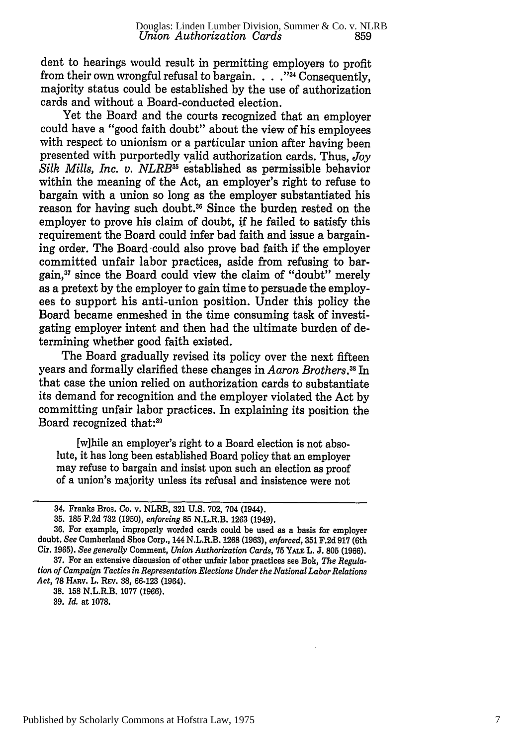dent to hearings would result in permitting employers to profit from their own wrongful refusal to bargain. . . . <sup>334</sup> Consequently, majority status could be established by the use of authorization cards and without a Board-conducted election.

Yet the Board and the courts recognized that an employer could have a "good faith doubt" about the view of his employees with respect to unionism or a particular union after having been presented with purportedly valid authorization cards. Thus, *Joy Silk Mills, Inc. v. NLRB*<sup>35</sup> established as permissible behavior within the meaning of the Act, an employer's right to refuse to bargain with a union so long as the employer substantiated his reason for having such doubt.<sup>36</sup> Since the burden rested on the employer to prove his claim of doubt, **if** he failed to satisfy this requirement the Board could infer bad faith and issue a bargaining order. The Board could also prove bad faith if the employer committed unfair labor practices, aside from refusing to bargain,37 since the Board could view the claim of "doubt" merely as a pretext by the employer to gain time to persuade the employees to support his anti-union position. Under this policy the Board became enmeshed in the time consuming task of investigating employer intent and then had the ultimate burden of determining whether good faith existed.

The Board gradually revised its policy over the next fifteen years and formally clarified these changes in *Aaron Brothers.3 1 In* that case the union relied on authorization cards to substantiate its demand for recognition and the employer violated the Act by committing unfair labor practices. In explaining its position the Board recognized that:39

[w]hile an employer's right to a Board election is not absolute, it has long been established Board policy that an employer may refuse to bargain and insist upon such an election as proof of a union's majority unless its refusal and insistence were not

**35. 185 F.2d 732 (1950),** *enforcing* **85** N.L.R.B. **1263** (1949).

39. *Id.* at 1078.

<sup>34.</sup> Franks Bros. Co. v. NLRB, **321 U.S. 702,** 704 (1944).

**<sup>36.</sup>** For example, improperly worded cards could be used as a basis for employer doubt. *See* Cumberland Shoe Corp., 144 N.L.R.B. **1268 (1963),** *enforced,* **351 F.2d 917** (6th Cir. **1965).** *See generally* Comment, *Union Authorization Cards,* **75 YAIm** L. **J. 805 (1966).**

**<sup>37.</sup>** For an extensive discussion of other unfair labor practices see Bok, *The Regulation of Campaign Tactics in Representation Elections Under the National Labor Relations* Act, 78 HARV. L. REV. 38, 66-123 (1964).

<sup>38.</sup> **158** N.L.R.B. 1077 (1966).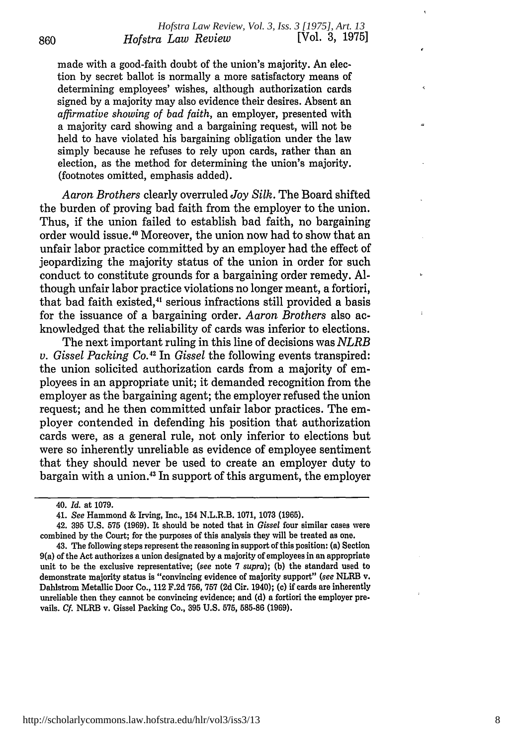made with a good-faith doubt of the union's majority. An election by secret ballot is normally a more satisfactory means of determining employees' wishes, although authorization cards signed by a majority may also evidence their desires. Absent an *affirmative showing of bad faith,* an employer, presented with a majority card showing and a bargaining request, will not be held to have violated his bargaining obligation under the law simply because he refuses to rely upon cards, rather than an election, as the method for determining the union's majority. (footnotes omitted, emphasis added).

*Aaron Brothers* clearly overruled *Joy Silk.* The Board shifted the burden of proving bad faith from the employer to the union. Thus, if the union failed to establish bad faith, no bargaining order would issue.<sup>40</sup> Moreover, the union now had to show that ar unfair labor practice committed by an employer had the effect of jeopardizing the majority status of the union in order for such conduct to constitute grounds for a bargaining order remedy. Although unfair labor practice violations no longer meant, a fortiori, that bad faith existed,<sup>41</sup> serious infractions still provided a basis for the issuance of a bargaining order. *Aaron Brothers* also acknowledged that the reliability of cards was inferior to elections.

The next important ruling in this line of decisions was *NLRB v. Gissel Packing Co.42* In *Gissel* the following events transpired: the union solicited authorization cards from a majority of employees in an appropriate unit; it demanded recognition from the employer as the bargaining agent; the employer refused the union request; and he then committed unfair labor practices. The employer contended in defending his position that authorization cards were, as a general rule, not only inferior to elections but were so inherently unreliable as evidence of employee sentiment that they should never be used to create an employer duty to bargain with a union.<sup>43</sup> In support of this argument, the employer

860

<sup>40.</sup> *Id.* at 1079.

<sup>41.</sup> *See* Hammond & Irving, Inc., 154 N.L.R.B. 1071, 1073 (1965).

<sup>42. 395</sup> U.S. 575 (1969). It should be noted that in *Gissel* four similar cases were combined by the Court; for the purposes of this analysis they will be treated as one.

<sup>43.</sup> The following steps represent the reasoning in support of this position: (a) Section 9(a) of the Act authorizes a union designated **by** a majority of employees in an appropriate unit to be the exclusive representative; *(see* note **7** *supra);* **(b)** the standard used to demonstrate majority status is "convincing evidence of majority support" *(see* **NLRB** v. Dahlstrom Metallic Door Co., 112 **F.2d 756, 757 (2d** Cir. 1940); **(c)** if cards are inherently unreliable then they cannot be convincing evidence; and **(d)** a fortiori the employer prevails. *Cf.* NLRB v. Gissel Packing Co., **395 U.S. 575, 585-86 (1969).**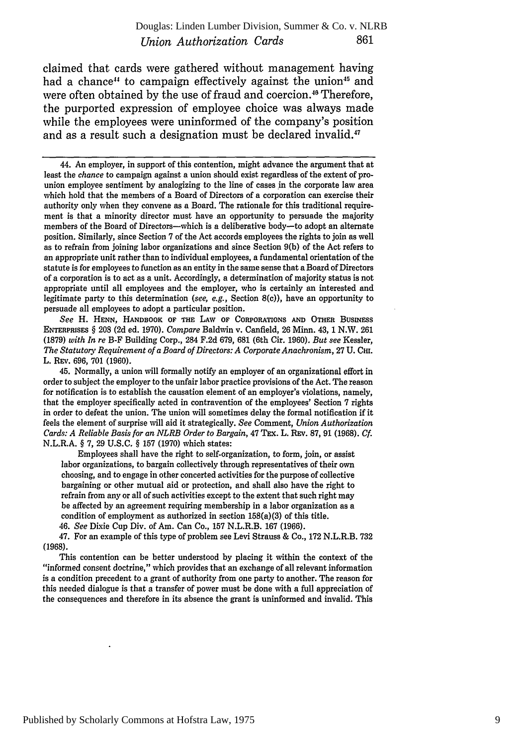#### *Union Authorization Cards* 861 Douglas: Linden Lumber Division, Summer & Co. v. NLRB

claimed that cards were gathered without management having had a chance<sup>14</sup> to campaign effectively against the union<sup>45</sup> and were often obtained by the use of fraud and coercion.<sup>46</sup> Therefore, the purported expression of employee choice was always made while the employees were uninformed of the company's position and as a result such a designation must be declared invalid.<sup>47</sup>

44. An employer, in support of this contention, might advance the argument that at least the *chance* to campaign against a union should exist regardless of the extent of prounion employee sentiment by analogizing to the line of cases in the corporate law area which hold that the members of a Board of Directors of a corporation can exercise their authority only when they convene as a Board. The rationale for this traditional requirement is that a minority director must have an opportunity to persuade the majority members of the Board of Directors--which is a deliberative body--to adopt an alternate position. Similarly, since Section 7 of the Act accords employees the rights to join as well as to refrain from joining labor organizations and since Section 9(b) of the Act refers to an appropriate unit rather than to individual employees, a fundamental orientation of the statute is for employees to function as an entity in the same sense that a Board of Directors of a corporation is to act as a unit. Accordingly, a determination of majority status is not appropriate until all employees and the employer, who is certainly an interested and legitimate party to this determination *(see, e.g.,* Section 8(c)), have an opportunity to persuade all employees to adopt a particular position.

*See* H. **HENN,** HANDBOOK OF **THE** LAW **OF** CORPORATIONS **AND** OTHER BusINEss ENTERPRISES § 208 (2d ed. 1970). *Compare* Baldwin v. Canfield, **26** Minn. 43, 1 N.W. **261** (1879) *with In re* B-F Building Corp., 284 F.2d 679, **681** (6th Cir. 1960). *But see* Kessler, *The Statutory Requirement of a Board of Directors: A Corporate Anachronism,* 27 U. **CHI.** L. REv. 696, 701 (1960).

45. Normally, a union will formally notify an employer of an organizational effort in order to subject the employer to the unfair labor practice provisions of the Act. The reason for notification is to establish the causation element of an employer's violations, namely, that the employer specifically acted in contravention of the employees' Section **7** rights in order to defeat the union. The union will sometimes delay the formal notification if it feels the element of surprise will aid it strategically. *See* Comment, *Union Authorization* Cards: A Reliable Basis for an NLRB Order to Bargain, 47 TEx. L. REv. 87, 91 (1968). Cf. N.L.R.A. § 7, 29 U.S.C. § 157 (1970) which states:

Employees shall have the right to self-organization, to form, join, or assist labor organizations, to bargain collectively through representatives of their own choosing, and to engage in other concerted activities for the purpose of collective bargaining or other mutual aid or protection, and shall also have the right to refrain from any or all of such activities except to the extent that such right may be affected by an agreement requiring membership in a labor organization as a condition of employment as authorized in section 158(a)(3) of this title.

46. *See* Dixie Cup Div. of Am. Can Co., 157 N.L.R.B. 167 (1966).

47. For an example of this type of problem see Levi Strauss & Co., 172 N.L.R.B. 732 (1968).

This contention can be better understood by placing it within the context of the "informed consent doctrine," which provides that an exchange of all relevant information is a condition precedent to a grant of authority from one party to another. The reason for this needed dialogue is that a transfer of power must be done with a full appreciation of the consequences and therefore in its absence the grant is uninformed and invalid. This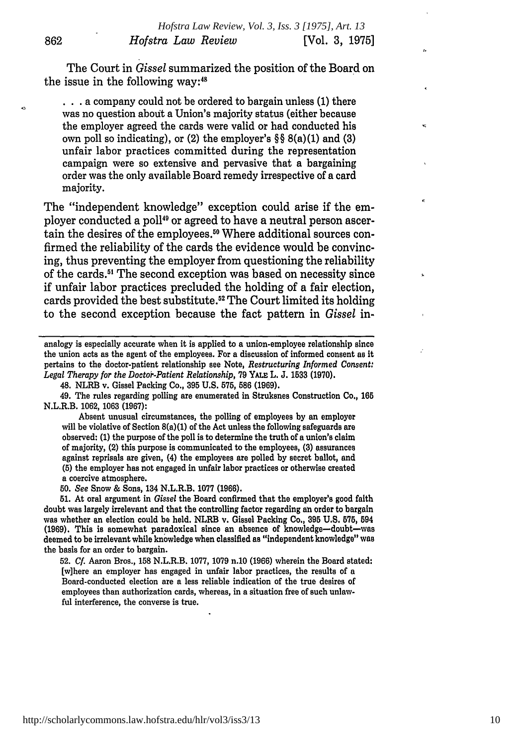The Court in *Gissel* summarized the position of the Board on the issue in the following way:<sup>48</sup>

 $\sim$ 

**• . .** a company could not be ordered to bargain unless (1) there was no question aboit a Union's majority status (either because the employer agreed the cards were valid or had conducted his own poll so indicating), or (2) the employer's §§ 8(a)(1) and (3) unfair labor practices committed during the representation campaign were so extensive and pervasive that a bargaining order was the only available Board remedy irrespective of a card majority.

The "independent knowledge" exception could arise if the employer conducted a poll49 or agreed to have a neutral person ascertain the desires of the employees.<sup>50</sup> Where additional sources confirmed the reliability of the cards the evidence would be convincing, thus preventing the employer from questioning the reliability of the cards." The second exception was based on necessity since if unfair labor practices precluded the holding of a fair election, cards provided the best substitute.<sup>52</sup> The Court limited its holding to the second exception because the fact pattern in *Gissel* in-

analogy is especially accurate when it is applied to a union-employee relationship since the union acts as the agent of the employees. For a discussion of informed consent as it pertains to the doctor-patient relationship see Note, *Restructuring Informed Consent: Legal Therapy for the Doctor-Patient Relationship,* **79 YALE** L. J. **1533 (1970).**

48. NLRB v. Gissel Packing Co., **395** U.S. **575, 586 (1969).**

49. The rules regarding polling are enumerated in Struksnes Construction Co., **165** N.L.R.B. **1062, 1063 (1967):**

Absent unusual circumstances, the polling of employees by an employer will be violative of Section 8(a)(1) of the Act unless the following safeguards are observed: **(1)** the purpose of the poll is to determine the truth of a union's claim of majority, (2) this purpose is communicated to the employees, **(3)** assurances against reprisals are given, (4) the employees are polled by secret ballot, and **(5)** the employer has not engaged in unfair labor practices or otherwise created a coercive atmosphere.

*50. See* Snow & Sons, 134 N.L.R.B. 1077 **(1966).**

**51.** At oral argument in *Gissel* the Board confirmed that the employer's good faith doubt was largely irrelevant and that the controlling factor regarding an order to bargain was whether an election could be held. NLRB v. Gissel Packing Co., **395 U.S. 575,** 594 **(1969).** This is somewhat paradoxical since an absence of knowledge-doubt-was deemed to be irrelevant while knowledge when classified as "independent knowledge" was the basis for an order to bargain.

**52.** *Cf.* Aaron Bros., **158** N.L.R.B. 1077, 1079 n.10 **(1966)** wherein the Board stated: [w]here an employer has engaged in unfair labor practices, the results of a Board-conducted election are a less reliable indication of the true desires of employees than authorization cards, whereas, in a situation free of such unlawful interference, the converse is true.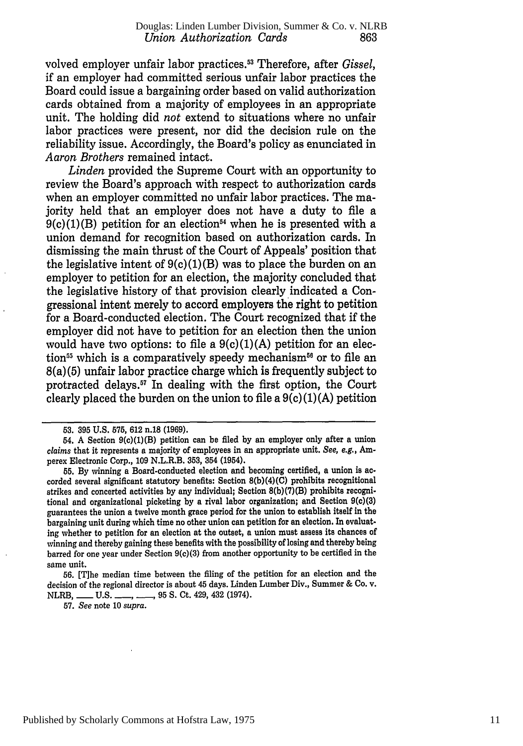volved employer unfair labor practices. 3 Therefore, after *Gissel,* if an employer had committed serious unfair labor practices the Board could issue a bargaining order based on valid authorization cards obtained from a majority of employees in an appropriate unit. The holding did *not* extend to situations where no unfair labor practices were present, nor did the decision rule on the reliability issue. Accordingly, the Board's policy as enunciated in *Aaron Brothers* remained intact.

*Linden* provided the Supreme Court with an opportunity to review the Board's approach with respect to authorization cards when an employer committed no unfair labor practices. The majority held that an employer does not have a duty to file a  $9(c)(1)(B)$  petition for an election<sup>54</sup> when he is presented with a union demand for recognition based on authorization cards. In dismissing the main thrust of the Court of Appeals' position that the legislative intent of  $9(c)(1)(B)$  was to place the burden on an employer to petition for an election, the majority concluded that the legislative history of that provision clearly indicated a Congressional intent merely to accord employers the right to petition for a Board-conducted election. The Court recognized that if the employer did not have to petition for an election then the union would have two options: to file a  $9(c)(1)(A)$  petition for an election<sup>55</sup> which is a comparatively speedy mechanism<sup> $56$ </sup> or to file an 8(a) (5) unfair labor practice charge which is frequently subject to protracted delays." In dealing with the first option, the Court clearly placed the burden on the union to file a  $9(c)(1)(A)$  petition

57. *See* note **10** *supra.*

**<sup>53. 395</sup>** U.S. 575, 612 n.18 (1969).

*<sup>54.</sup>* A Section 9(c)(1)(B) petition can be filed by an employer only after a union *claims* that it represents a majority of employees in an appropriate unit. *See, e.g., Am*perex Electronic Corp., 109 N.L.R.B. **353,** 354 (1954).

**<sup>55.</sup>** By winning a Board-conducted election and becoming certified, a union is accorded several significant statutory benefits: Section **8(b)(4)(C)** prohibits recognitional strikes and concerted activities by any individual; Section **8(b)(7)(B)** prohibits recognitional and organizational picketing by a rival labor organization; and Section 9(c)(3) guarantees the union a twelve month grace period for the union to establish itself in the bargaining unit during which time no other union can petition for an election. In evaluating whether to petition for an election at the outset, a union must assess its chances of winning and thereby gaining these benefits with the possibility of losing and thereby being barred for one year under Section 9(c)(3) from another opportunity to be certified in the same unit.

<sup>56. [</sup>The median time between the filing of the petition for an election and the decision of the regional director is about 45 days. Linden Lumber Div., Summer & Co. v. NLRB, \_\_\_\_ U.S. \_\_\_\_, \_\_\_, 95 S. Ct. 429, 432 (1974).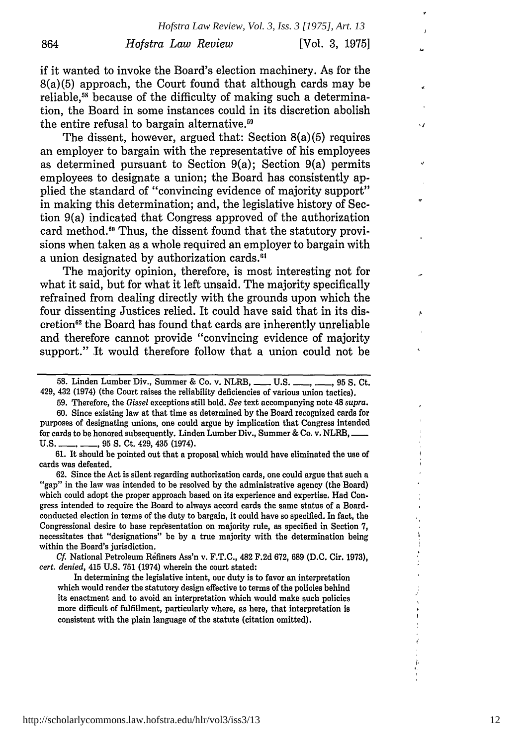if it wanted to invoke the Board's election machinery. As for the 8(a)(5) approach, the Court found that although cards may be reliable,<sup>58</sup> because of the difficulty of making such a determination, the Board in some instances could in its discretion abolish the entire refusal to bargain alternative.<sup>59</sup>

864

The dissent, however, argued that: Section 8(a)(5) requires an employer to bargain with the representative of his employees as determined pursuant to Section 9(a); Section 9(a) permits employees to designate a union; the Board has consistently applied the standard of "convincing evidence of majority support" in making this determination; and, the legislative history of Section 9(a) indicated that Congress approved of the authorization card method.<sup>60</sup> Thus, the dissent found that the statutory provisions when taken as a whole required an employer to bargain with a union designated by authorization cards.<sup>61</sup>

The majority opinion, therefore, is most interesting not for what it said, but for what it left unsaid. The majority specifically refrained from dealing directly with the grounds upon which the four dissenting Justices relied. It could have said that in its discretion<sup>62</sup> the Board has found that cards are inherently unreliable and therefore cannot provide "convincing evidence of majority support." It would therefore follow that a union could not be

59. Therefore, the *Gissel* exceptions still hold. *See* text accompanying note 48 *supra.*

60. Since existing law at that time as determined by the Board recognized cards for purposes of designating unions, one could argue by implication that Congress intended for cards to be honored subsequently. Linden Lumber Div., Summer & Co. v. NLRB, U.S. **- - ,** 95 **S.** Ct. 429, 435 (1974).

**61.** It should be pointed out that a proposal which would have eliminated the use of cards was defeated.

62. Since the Act is silent regarding authorization cards, one could argue that such a "gap" in the law was intended to be resolved by the administrative agency (the Board) which could adopt the proper approach based on its experience and expertise. Had Congress intended to require the Board to always accord cards the same status of a Boardconducted election in terms of the duty to bargain, it could have so specified. In fact, the Congressional desire to base representation on majority rule, as specified in Section 7, necessitates that "designations" be by a true majority with the determination being within the Board's jurisdiction.

*Cf.* National Petroleum Rfiners Ass'n v. F.T.C., 482 F.2d 672, 689 **(D.C.** Cir. **1973),** *cert. denied,* 415 U.S. **751** (1974) wherein the court stated:

In determining the legislative intent, our duty is to favor an interpretation which would render the statutory design effective to terms of the policies behind its enactment and to avoid an interpretation which would make such policies more difficult of fulfillment, particularly where, as here, that interpretation is consistent with the plain language of the statute (citation omitted).

Ō

**<sup>58.</sup>** Linden Lumber Div., Summer & Co. v. NLRB, **-** U.S. **-, -,** 95 **S.** Ct. 429, 432 (1974) (the Court raises the reliability deficiencies of various union tactics).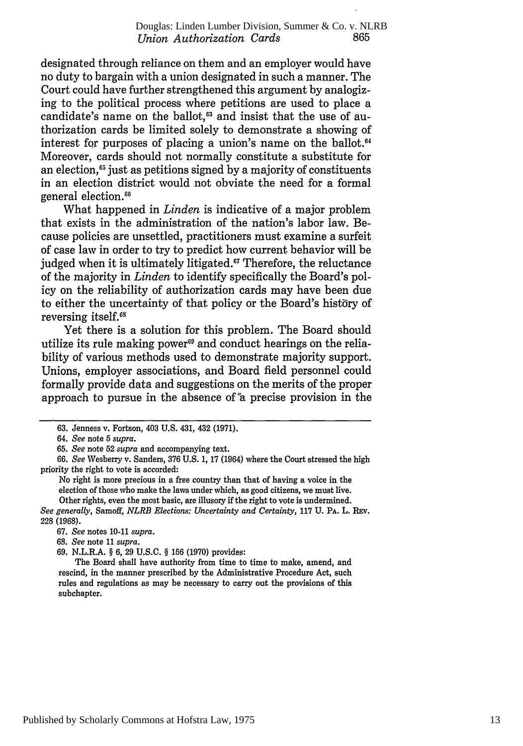designated through reliance on them and an employer would have no duty to bargain with a union designated in such a manner. The Court could have further strengthened this argument by analogizing to the political process where petitions are used to place a candidate's name on the ballot,<sup>63</sup> and insist that the use of authorization cards be limited solely to demonstrate a showing of interest for purposes of placing a union's name on the ballot.<sup>64</sup> Moreover, cards should not normally constitute a substitute for an election, $65$  just as petitions signed by a majority of constituents in an election district would not obviate the need for a formal general election.

What happened in *Linden* is indicative of a major problem that exists in the administration of the nation's labor law. Because policies are unsettled, practitioners must examine a surfeit of case law in order to try to predict how current behavior will be judged when it is ultimately litigated.<sup>67</sup> Therefore, the reluctance of the majority in *Linden* to identify specifically the Board's policy on the reliability of authorization cards may have been due to either the uncertainty of that policy or the Board's history of reversing itself.<sup>61</sup>

Yet there is a solution for this problem. The Board should utilize its rule making power<sup>69</sup> and conduct hearings on the reliability of various methods used to demonstrate majority support. Unions, employer associations, and Board field personnel could formally provide data and suggestions on the merits of the proper approach to pursue in the absence of a precise provision in the

*66. See* Wesberry v. Sanders, 376 U.S. 1, 17 (1964) where the Court stressed the high priority the right to vote is accorded:

No right is more precious in a free country than that of having a voice in the election of those who make the laws under which, as good citizens, we must live. Other rights, even the most basic, are illusory **if** the right to vote is undermined.

*See generally,* Samoff, *NLRB Elections: Uncertainty and Certainty,* **117 U. PA.** L. REv. 228 (1968).

68. *See* note 11 *supra.*

69. N.L.R.A. § 6, 29 U.S.C. § 156 (1970) provides:

The Board shall have authority from time to time to make, amend, and rescind, in the manner prescribed by the Administrative Procedure Act, such rules and regulations as may be necessary to carry out the provisions of this subehapter.

**<sup>63.</sup>** Jenness v. Fortson, 403 **U.S.** 431, 432 **(1971).**

*<sup>64.</sup> See* note 5 *supra.*

<sup>65.</sup> *See* note 52 *supra* and accompanying text.

<sup>67.</sup> *See* notes 10-11 *supra.*